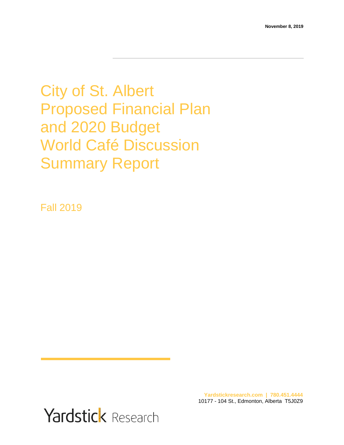City of St. Albert Proposed Financial Plan and 2020 Budget World Café Discussion Summary Report

Fall 2019

Yardstick Research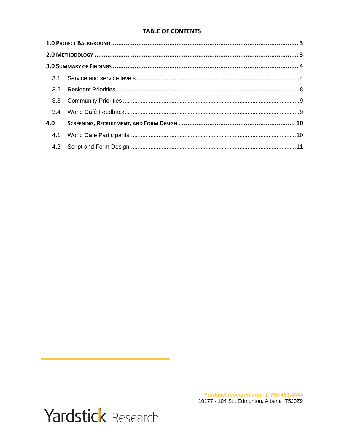#### **TABLE OF CONTENTS**

| 3.4 |  |  |  |  |  |  |
|-----|--|--|--|--|--|--|
| 4.0 |  |  |  |  |  |  |
| 4.1 |  |  |  |  |  |  |
|     |  |  |  |  |  |  |

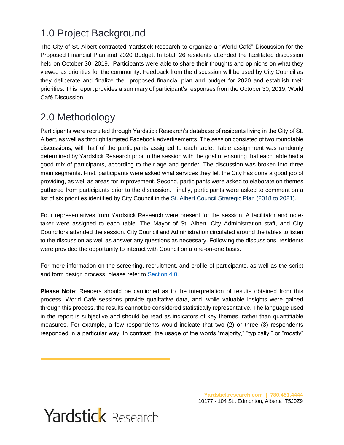# <span id="page-2-0"></span>1.0 Project Background

The City of St. Albert contracted Yardstick Research to organize a "World Café" Discussion for the Proposed Financial Plan and 2020 Budget. In total, 26 residents attended the facilitated discussion held on October 30, 2019. Participants were able to share their thoughts and opinions on what they viewed as priorities for the community. Feedback from the discussion will be used by City Council as they deliberate and finalize the proposed financial plan and budget for 2020 and establish their priorities. This report provides a summary of participant's responses from the October 30, 2019, World Café Discussion.

# <span id="page-2-1"></span>2.0 Methodology

Participants were recruited through Yardstick Research's database of residents living in the City of St. Albert, as well as through targeted Facebook advertisements. The session consisted of two roundtable discussions, with half of the participants assigned to each table. Table assignment was randomly determined by Yardstick Research prior to the session with the goal of ensuring that each table had a good mix of participants, according to their age and gender. The discussion was broken into three main segments. First, participants were asked what services they felt the City has done a good job of providing, as well as areas for improvement. Second, participants were asked to elaborate on themes gathered from participants prior to the discussion. Finally, participants were asked to comment on a list of six priorities identified by City Council in the St. Albert Council Strategic Plan (2018 to 2021).

Four representatives from Yardstick Research were present for the session. A facilitator and notetaker were assigned to each table. The Mayor of St. Albert, City Administration staff, and City Councilors attended the session. City Council and Administration circulated around the tables to listen to the discussion as well as answer any questions as necessary. Following the discussions, residents were provided the opportunity to interact with Council on a one-on-one basis.

For more information on the screening, recruitment, and profile of participants, as well as the script and form design process, please refer to [Section 4.0.](#page-9-3)

**Please Note**: Readers should be cautioned as to the interpretation of results obtained from this process. World Café sessions provide qualitative data, and, while valuable insights were gained through this process, the results cannot be considered statistically representative. The language used in the report is subjective and should be read as indicators of key themes, rather than quantifiable measures. For example, a few respondents would indicate that two (2) or three (3) respondents responded in a particular way. In contrast, the usage of the words "majority," "typically," or "mostly"

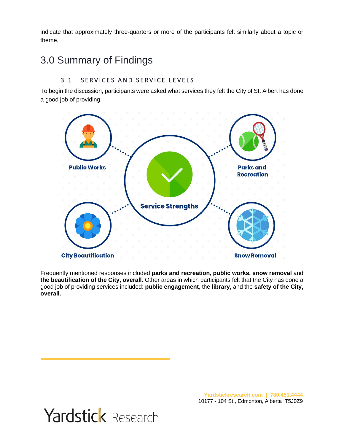indicate that approximately three-quarters or more of the participants felt similarly about a topic or theme.

# <span id="page-3-0"></span>3.0 Summary of Findings

## <span id="page-3-1"></span>3.1 SERVICES AND SERVICE LEVELS

To begin the discussion, participants were asked what services they felt the City of St. Albert has done a good job of providing.



Frequently mentioned responses included **parks and recreation, public works, snow removal** and **the beautification of the City, overall**. Other areas in which participants felt that the City has done a good job of providing services included: **public engagement**, the **library,** and the **safety of the City, overall.** 

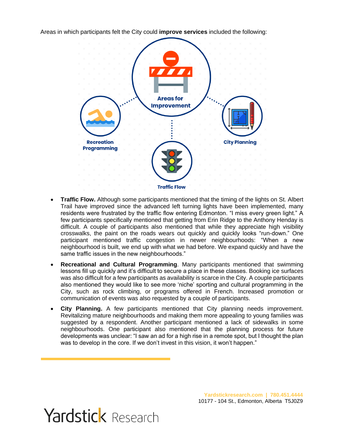Areas in which participants felt the City could **improve services** included the following:



- **Traffic Flow.** Although some participants mentioned that the timing of the lights on St. Albert Trail have improved since the advanced left turning lights have been implemented, many residents were frustrated by the traffic flow entering Edmonton. "I miss every green light." A few participants specifically mentioned that getting from Erin Ridge to the Anthony Henday is difficult. A couple of participants also mentioned that while they appreciate high visibility crosswalks, the paint on the roads wears out quickly and quickly looks "run-down." One participant mentioned traffic congestion in newer neighbourhoods: "When a new neighbourhood is built, we end up with what we had before. We expand quickly and have the same traffic issues in the new neighbourhoods."
- **Recreational and Cultural Programming**. Many participants mentioned that swimming lessons fill up quickly and it's difficult to secure a place in these classes. Booking ice surfaces was also difficult for a few participants as availability is scarce in the City. A couple participants also mentioned they would like to see more 'niche' sporting and cultural programming in the City, such as rock climbing, or programs offered in French. Increased promotion or communication of events was also requested by a couple of participants.
- **City Planning.** A few participants mentioned that City planning needs improvement. Revitalizing mature neighbourhoods and making them more appealing to young families was suggested by a respondent. Another participant mentioned a lack of sidewalks in some neighbourhoods. One participant also mentioned that the planning process for future developments was unclear: "I saw an ad for a high rise in a remote spot, but I thought the plan was to develop in the core. If we don't invest in this vision, it won't happen."

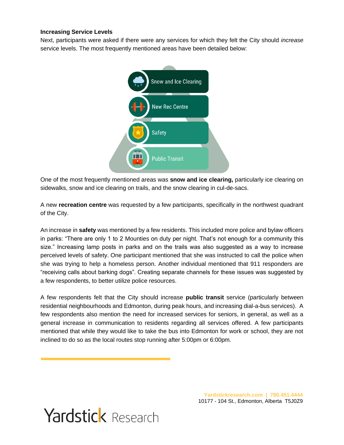#### **Increasing Service Levels**

Next, participants were asked if there were any services for which they felt the City should *increase*  service levels. The most frequently mentioned areas have been detailed below:



One of the most frequently mentioned areas was **snow and ice clearing,** particularly ice clearing on sidewalks, snow and ice clearing on trails, and the snow clearing in cul-de-sacs.

A new **recreation centre** was requested by a few participants, specifically in the northwest quadrant of the City.

An increase in **safety** was mentioned by a few residents. This included more police and bylaw officers in parks: "There are only 1 to 2 Mounties on duty per night. That's not enough for a community this size." Increasing lamp posts in parks and on the trails was also suggested as a way to increase perceived levels of safety. One participant mentioned that she was instructed to call the police when she was trying to help a homeless person. Another individual mentioned that 911 responders are "receiving calls about barking dogs". Creating separate channels for these issues was suggested by a few respondents, to better utilize police resources.

A few respondents felt that the City should increase **public transit** service (particularly between residential neighbourhoods and Edmonton, during peak hours, and increasing dial-a-bus services). A few respondents also mention the need for increased services for seniors, in general, as well as a general increase in communication to residents regarding all services offered. A few participants mentioned that while they would like to take the bus into Edmonton for work or school, they are not inclined to do so as the local routes stop running after 5:00pm or 6:00pm.

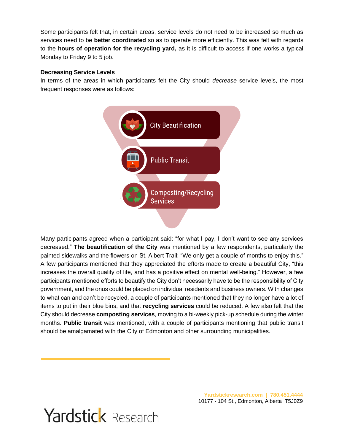Some participants felt that, in certain areas, service levels do not need to be increased so much as services need to be **better coordinated** so as to operate more efficiently. This was felt with regards to the **hours of operation for the recycling yard,** as it is difficult to access if one works a typical Monday to Friday 9 to 5 job.

### **Decreasing Service Levels**

In terms of the areas in which participants felt the City should *decrease* service levels, the most frequent responses were as follows:



Many participants agreed when a participant said: "for what I pay, I don't want to see any services decreased." **The beautification of the City** was mentioned by a few respondents, particularly the painted sidewalks and the flowers on St. Albert Trail: "We only get a couple of months to enjoy this." A few participants mentioned that they appreciated the efforts made to create a beautiful City, "this increases the overall quality of life, and has a positive effect on mental well-being." However, a few participants mentioned efforts to beautify the City don't necessarily have to be the responsibility of City government, and the onus could be placed on individual residents and business owners. With changes to what can and can't be recycled, a couple of participants mentioned that they no longer have a lot of items to put in their blue bins, and that **recycling services** could be reduced. A few also felt that the City should decrease **composting services**, moving to a bi-weekly pick-up schedule during the winter months. **Public transit** was mentioned, with a couple of participants mentioning that public transit should be amalgamated with the City of Edmonton and other surrounding municipalities.

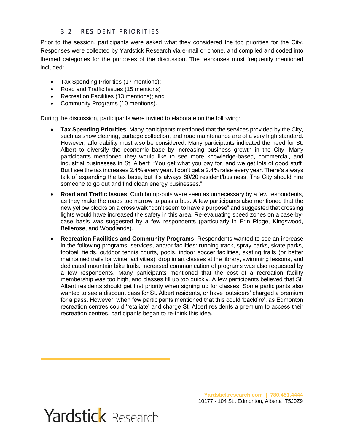### 3.2 RESIDENT PRIORITIES

<span id="page-7-0"></span>Prior to the session, participants were asked what they considered the top priorities for the City. Responses were collected by Yardstick Research via e-mail or phone, and compiled and coded into themed categories for the purposes of the discussion. The responses most frequently mentioned included:

- Tax Spending Priorities (17 mentions);
- Road and Traffic Issues (15 mentions)
- Recreation Facilities (13 mentions); and
- Community Programs (10 mentions).

During the discussion, participants were invited to elaborate on the following:

- **Tax Spending Priorities.** Many participants mentioned that the services provided by the City, such as snow clearing, garbage collection, and road maintenance are of a very high standard. However, affordability must also be considered. Many participants indicated the need for St. Albert to diversify the economic base by increasing business growth in the City. Many participants mentioned they would like to see more knowledge-based, commercial, and industrial businesses in St. Albert: "You get what you pay for, and we get lots of good stuff. But I see the tax increases 2.4% every year. I don't get a 2.4% raise every year. There's always talk of expanding the tax base, but it's always 80/20 resident/business. The City should hire someone to go out and find clean energy businesses."
- **Road and Traffic Issues**. Curb bump-outs were seen as unnecessary by a few respondents, as they make the roads too narrow to pass a bus. A few participants also mentioned that the new yellow blocks on a cross walk "don't seem to have a purpose" and suggested that crossing lights would have increased the safety in this area. Re-evaluating speed zones on a case-bycase basis was suggested by a few respondents (particularly in Erin Ridge, Kingswood, Bellerose, and Woodlands).
- **Recreation Facilities and Community Programs**. Respondents wanted to see an increase in the following programs, services, and/or facilities: running track, spray parks, skate parks, football fields, outdoor tennis courts, pools, indoor soccer facilities, skating trails (or better maintained trails for winter activities), drop in art classes at the library, swimming lessons, and dedicated mountain bike trails. Increased communication of programs was also requested by a few respondents. Many participants mentioned that the cost of a recreation facility membership was too high, and classes fill up too quickly. A few participants believed that St. Albert residents should get first priority when signing up for classes. Some participants also wanted to see a discount pass for St. Albert residents, or have 'outsiders' charged a premium for a pass. However, when few participants mentioned that this could 'backfire', as Edmonton recreation centres could 'retaliate' and charge St. Albert residents a premium to access their recreation centres, participants began to re-think this idea.

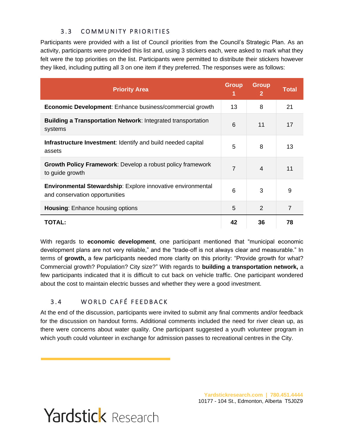## 3.3 COMMUNITY PRIORITIES

<span id="page-8-0"></span>Participants were provided with a list of Council priorities from the Council's Strategic Plan. As an activity, participants were provided this list and, using 3 stickers each, were asked to mark what they felt were the top priorities on the list. Participants were permitted to distribute their stickers however they liked, including putting all 3 on one item if they preferred. The responses were as follows:

| <b>Priority Area</b>                                                                                 | <b>Group</b><br>1 | <b>Group</b><br>$\mathbf{2}$ | <b>Total</b>   |
|------------------------------------------------------------------------------------------------------|-------------------|------------------------------|----------------|
| <b>Economic Development:</b> Enhance business/commercial growth                                      | 13                | 8                            | 21             |
| <b>Building a Transportation Network: Integrated transportation</b><br>systems                       | 6                 | 11                           | 17             |
| <b>Infrastructure Investment: Identify and build needed capital</b><br>assets                        | 5                 | 8                            | 13             |
| <b>Growth Policy Framework:</b> Develop a robust policy framework<br>to guide growth                 | $\overline{7}$    | $\overline{4}$               | 11             |
| <b>Environmental Stewardship:</b> Explore innovative environmental<br>and conservation opportunities | 6                 | 3                            | 9              |
| <b>Housing: Enhance housing options</b>                                                              | 5                 | 2                            | $\overline{7}$ |
| <b>TOTAL:</b>                                                                                        | 42                | 36                           | 78             |

With regards to **economic development**, one participant mentioned that "municipal economic development plans are not very reliable," and the "trade-off is not always clear and measurable." In terms of **growth,** a few participants needed more clarity on this priority: "Provide growth for what? Commercial growth? Population? City size?" With regards to **building a transportation network,** a few participants indicated that it is difficult to cut back on vehicle traffic. One participant wondered about the cost to maintain electric busses and whether they were a good investment.

### <span id="page-8-1"></span>3.4 WORLD CAFÉ FEEDBACK

At the end of the discussion, participants were invited to submit any final comments and/or feedback for the discussion on handout forms. Additional comments included the need for river clean up, as there were concerns about water quality. One participant suggested a youth volunteer program in which youth could volunteer in exchange for admission passes to recreational centres in the City.

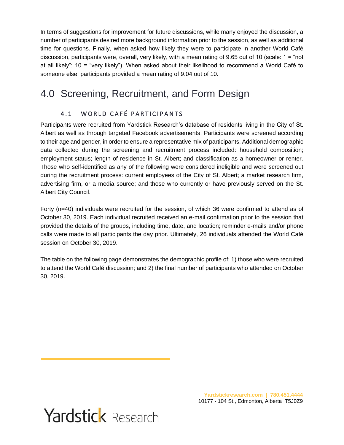In terms of suggestions for improvement for future discussions, while many enjoyed the discussion, a number of participants desired more background information prior to the session, as well as additional time for questions. Finally, when asked how likely they were to participate in another World Café discussion, participants were, overall, very likely, with a mean rating of 9.65 out of 10 (scale: 1 = "not at all likely"; 10 = "very likely"). When asked about their likelihood to recommend a World Café to someone else, participants provided a mean rating of 9.04 out of 10.

# <span id="page-9-1"></span><span id="page-9-0"></span>4.0 Screening, Recruitment, and Form Design

## <span id="page-9-3"></span>4.1 WORLD CAFÉ PARTICIPANTS

Participants were recruited from Yardstick Research's database of residents living in the City of St. Albert as well as through targeted Facebook advertisements. Participants were screened according to their age and gender, in order to ensure a representative mix of participants. Additional demographic data collected during the screening and recruitment process included: household composition; employment status; length of residence in St. Albert; and classification as a homeowner or renter. Those who self-identified as any of the following were considered ineligible and were screened out during the recruitment process: current employees of the City of St. Albert; a market research firm, advertising firm, or a media source; and those who currently or have previously served on the St. Albert City Council.

Forty (n=40) individuals were recruited for the session, of which 36 were confirmed to attend as of October 30, 2019. Each individual recruited received an e-mail confirmation prior to the session that provided the details of the groups, including time, date, and location; reminder e-mails and/or phone calls were made to all participants the day prior. Ultimately, 26 individuals attended the World Café session on October 30, 2019.

<span id="page-9-2"></span>The table on the following page demonstrates the demographic profile of: 1) those who were recruited to attend the World Café discussion; and 2) the final number of participants who attended on October 30, 2019.

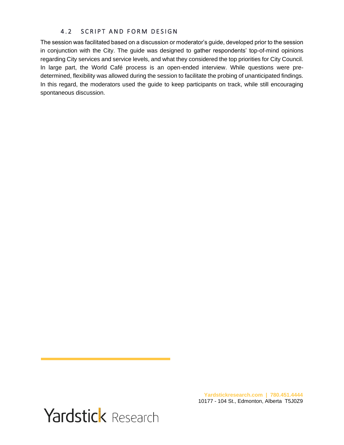### 4.2 SCRIPT AND FORM DESIGN

The session was facilitated based on a discussion or moderator's guide, developed prior to the session in conjunction with the City. The guide was designed to gather respondents' top-of-mind opinions regarding City services and service levels, and what they considered the top priorities for City Council. In large part, the World Café process is an open-ended interview. While questions were predetermined, flexibility was allowed during the session to facilitate the probing of unanticipated findings. In this regard, the moderators used the guide to keep participants on track, while still encouraging spontaneous discussion.